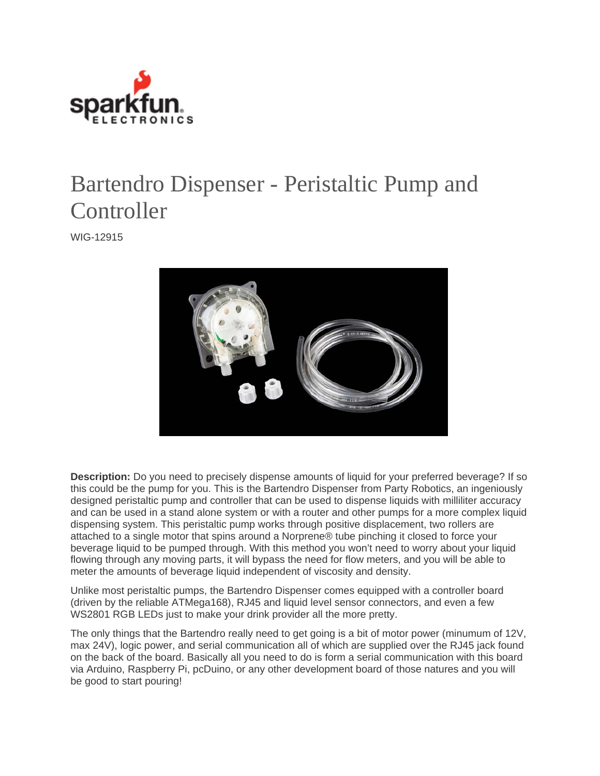

## Bartendro Dispenser - Peristaltic Pump and **Controller**

WIG-12915



**Description:** Do you need to precisely dispense amounts of liquid for your preferred beverage? If so this could be the pump for you. This is the Bartendro Dispenser from Party Robotics, an ingeniously designed peristaltic pump and controller that can be used to dispense liquids with milliliter accuracy and can be used in a stand alone system or with a router and other pumps for a more complex liquid dispensing system. This peristaltic pump works through positive displacement, two rollers are attached to a single motor that spins around a Norprene® tube pinching it closed to force your beverage liquid to be pumped through. With this method you won't need to worry about your liquid flowing through any moving parts, it will bypass the need for flow meters, and you will be able to meter the amounts of beverage liquid independent of viscosity and density.

Unlike most peristaltic pumps, the Bartendro Dispenser comes equipped with a controller board (driven by the reliable ATMega168), RJ45 and liquid level sensor connectors, and even a few WS2801 RGB LEDs just to make your drink provider all the more pretty.

The only things that the Bartendro really need to get going is a bit of motor power (minumum of 12V, max 24V), logic power, and serial communication all of which are supplied over the RJ45 jack found on the back of the board. Basically all you need to do is form a serial communication with this board via Arduino, Raspberry Pi, pcDuino, or any other development board of those natures and you will be good to start pouring!